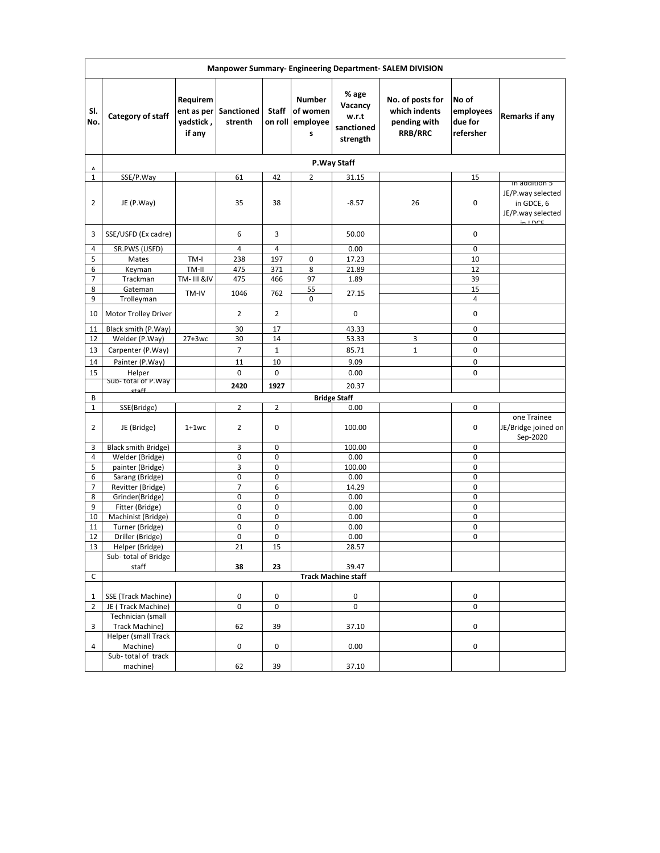| Manpower Summary- Engineering Department- SALEM DIVISION |                                        |                                               |                       |                            |                                            |                                                     |                                                                     |                                            |                                                                                 |  |  |
|----------------------------------------------------------|----------------------------------------|-----------------------------------------------|-----------------------|----------------------------|--------------------------------------------|-----------------------------------------------------|---------------------------------------------------------------------|--------------------------------------------|---------------------------------------------------------------------------------|--|--|
| SI.<br>No.                                               | Category of staff                      | Requirem<br>ent as per<br>yadstick,<br>if any | Sanctioned<br>strenth | Staff<br>on roll           | <b>Number</b><br>of women<br>employee<br>S | % age<br>Vacancy<br>w.r.t<br>sanctioned<br>strength | No. of posts for<br>which indents<br>pending with<br><b>RRB/RRC</b> | No of<br>employees<br>due for<br>refersher | Remarks if any                                                                  |  |  |
| Α                                                        |                                        |                                               |                       |                            |                                            | P.Way Staff                                         |                                                                     |                                            |                                                                                 |  |  |
| $\mathbf{1}$                                             | SSE/P.Way                              |                                               | 61                    | 42                         | $\overline{2}$                             | 31.15                                               |                                                                     | 15                                         |                                                                                 |  |  |
| 2                                                        | JE (P.Way)                             |                                               | 35                    | 38                         |                                            | $-8.57$                                             | 26                                                                  | 0                                          | in addition 5<br>JE/P.way selected<br>in GDCE, 6<br>JE/P.way selected<br>intDCE |  |  |
| 3                                                        | SSE/USFD (Ex cadre)                    |                                               | 6                     | 3                          |                                            | 50.00                                               |                                                                     | 0                                          |                                                                                 |  |  |
| 4                                                        | SR.PWS (USFD)                          |                                               | 4                     | $\overline{4}$             |                                            | 0.00                                                |                                                                     | 0                                          |                                                                                 |  |  |
| 5                                                        | Mates                                  | TM-I                                          | 238                   | 197                        | 0                                          | 17.23                                               |                                                                     | 10                                         |                                                                                 |  |  |
| 6                                                        | Keyman                                 | TM-II                                         | 475                   | 371                        | 8                                          | 21.89                                               |                                                                     | 12                                         |                                                                                 |  |  |
| $\overline{7}$                                           | Trackman                               | TM- III &IV                                   | 475                   | 466                        | 97                                         | 1.89                                                |                                                                     | 39                                         |                                                                                 |  |  |
| 8                                                        | Gateman                                | TM-IV                                         | 1046                  | 762                        | 55                                         | 27.15                                               |                                                                     | 15                                         |                                                                                 |  |  |
| 9                                                        | Trolleyman                             |                                               |                       |                            | 0                                          |                                                     |                                                                     | 4                                          |                                                                                 |  |  |
| 10                                                       | Motor Trolley Driver                   |                                               | 2                     | 2                          |                                            | 0                                                   |                                                                     | 0                                          |                                                                                 |  |  |
| 11                                                       | Black smith (P.Way)                    |                                               | 30                    | 17                         |                                            | 43.33                                               |                                                                     | 0                                          |                                                                                 |  |  |
| 12                                                       | Welder (P.Way)                         | $27+3wc$                                      | 30                    | 14                         |                                            | 53.33                                               | 3                                                                   | 0                                          |                                                                                 |  |  |
| 13                                                       | Carpenter (P.Way)                      |                                               | $\overline{7}$        | $\mathbf{1}$               |                                            | 85.71                                               | $\mathbf{1}$                                                        | 0                                          |                                                                                 |  |  |
| 14                                                       | Painter (P.Way)                        |                                               | 11                    | 10                         |                                            | 9.09                                                |                                                                     | 0                                          |                                                                                 |  |  |
| 15                                                       | Helper                                 |                                               | 0                     | $\mathbf 0$                |                                            | 0.00                                                |                                                                     | 0                                          |                                                                                 |  |  |
|                                                          | Sub-total of P.Way                     |                                               |                       |                            |                                            |                                                     |                                                                     |                                            |                                                                                 |  |  |
|                                                          | ctaff                                  |                                               | 2420                  | 1927                       |                                            | 20.37                                               |                                                                     |                                            |                                                                                 |  |  |
| В                                                        |                                        |                                               |                       |                            |                                            | <b>Bridge Staff</b>                                 |                                                                     |                                            |                                                                                 |  |  |
| $\mathbf{1}$                                             | SSE(Bridge)                            |                                               | $\overline{2}$        | 2                          |                                            | 0.00                                                |                                                                     | 0                                          |                                                                                 |  |  |
| 2                                                        | JE (Bridge)                            | $1+1$ wc                                      | $\overline{2}$        | $\mathbf 0$                |                                            | 100.00                                              |                                                                     | 0                                          | one Trainee<br>JE/Bridge joined on<br>Sep-2020                                  |  |  |
| 3                                                        | Black smith Bridge)                    |                                               | 3                     | $\mathbf 0$                |                                            | 100.00                                              |                                                                     | 0                                          |                                                                                 |  |  |
| 4                                                        | Welder (Bridge)                        |                                               | 0                     | 0                          |                                            | 0.00                                                |                                                                     | 0                                          |                                                                                 |  |  |
| 5                                                        | painter (Bridge)                       |                                               | 3                     | 0                          |                                            | 100.00                                              |                                                                     | 0                                          |                                                                                 |  |  |
| 6                                                        | Sarang (Bridge)                        |                                               | 0                     | 0                          |                                            | 0.00                                                |                                                                     | 0                                          |                                                                                 |  |  |
| $\overline{7}$                                           | Revitter (Bridge)                      |                                               | $\overline{7}$        | 6                          |                                            | 14.29                                               |                                                                     | 0                                          |                                                                                 |  |  |
| 8                                                        | Grinder(Bridge)                        |                                               | 0                     | 0                          |                                            | 0.00                                                |                                                                     | 0                                          |                                                                                 |  |  |
| 9                                                        | Fitter (Bridge)                        |                                               | 0                     | $\mathbf 0$                |                                            | 0.00                                                |                                                                     | 0                                          |                                                                                 |  |  |
| 10                                                       | Machinist (Bridge)                     |                                               | 0                     | 0                          |                                            | 0.00                                                |                                                                     | 0                                          |                                                                                 |  |  |
| 11                                                       | Turner (Bridge)                        |                                               | 0                     | $\mathbf 0$<br>$\mathbf 0$ |                                            | 0.00                                                |                                                                     | 0                                          |                                                                                 |  |  |
| 12                                                       | Driller (Bridge)                       |                                               | 0                     |                            |                                            | 0.00<br>28.57                                       |                                                                     | 0                                          |                                                                                 |  |  |
| 13                                                       | Helper (Bridge)<br>Sub-total of Bridge |                                               | 21                    | 15                         |                                            |                                                     |                                                                     |                                            |                                                                                 |  |  |
|                                                          | staff                                  |                                               | 38                    | 23                         |                                            | 39.47                                               |                                                                     |                                            |                                                                                 |  |  |
| C                                                        |                                        |                                               |                       |                            |                                            | <b>Track Machine staff</b>                          |                                                                     |                                            |                                                                                 |  |  |
|                                                          |                                        |                                               |                       |                            |                                            |                                                     |                                                                     |                                            |                                                                                 |  |  |
| 1                                                        | SSE (Track Machine)                    |                                               | 0                     | 0                          |                                            | 0                                                   |                                                                     | 0                                          |                                                                                 |  |  |
| 2                                                        | JE (Track Machine)                     |                                               | 0                     | 0                          |                                            | 0                                                   |                                                                     | 0                                          |                                                                                 |  |  |
|                                                          | Technician (small                      |                                               |                       |                            |                                            |                                                     |                                                                     |                                            |                                                                                 |  |  |
| 3                                                        | Track Machine)                         |                                               | 62                    | 39                         |                                            | 37.10                                               |                                                                     | 0                                          |                                                                                 |  |  |
|                                                          | Helper (small Track                    |                                               |                       |                            |                                            |                                                     |                                                                     |                                            |                                                                                 |  |  |
| 4                                                        | Machine)                               |                                               | 0                     | 0                          |                                            | 0.00                                                |                                                                     | 0                                          |                                                                                 |  |  |
|                                                          | Sub-total of track                     |                                               |                       |                            |                                            |                                                     |                                                                     |                                            |                                                                                 |  |  |
|                                                          | machine)                               |                                               | 62                    | 39                         |                                            | 37.10                                               |                                                                     |                                            |                                                                                 |  |  |